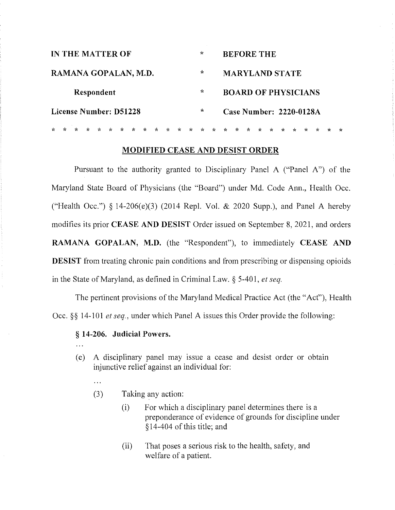| IN THE MATTER OF                  |              |         |              |                             |        |         |              |               |        |         |        |              |         | <b>BEFORE THE</b>              |         |         |         |         |         |              |         |  |  |    |
|-----------------------------------|--------------|---------|--------------|-----------------------------|--------|---------|--------------|---------------|--------|---------|--------|--------------|---------|--------------------------------|---------|---------|---------|---------|---------|--------------|---------|--|--|----|
| $\star$<br>RAMANA GOPALAN, M.D.   |              |         |              |                             |        |         |              |               |        |         |        |              |         | <b>MARYLAND STATE</b>          |         |         |         |         |         |              |         |  |  |    |
| Respondent                        |              |         |              |                             |        |         |              |               |        |         |        |              |         | <b>BOARD OF PHYSICIANS</b>     |         |         |         |         |         |              |         |  |  |    |
| License Number: D51228<br>$\star$ |              |         |              |                             |        |         |              |               |        |         |        |              |         | <b>Case Number: 2220-0128A</b> |         |         |         |         |         |              |         |  |  |    |
| $\star$                           | $\mathbf{r}$ | $\star$ | $\mathbf{r}$ | $\mathcal{A}_{\mathcal{C}}$ | $\sim$ | $\star$ | $\mathbf{v}$ | $\mathcal{L}$ | $\sim$ | $\star$ | $\sim$ | $\mathbf{r}$ | $\star$ | $\mathcal{N}$                  | $\star$ | $\star$ | $\star$ | $\star$ | $\star$ | $\mathbf{r}$ | $\star$ |  |  | ∗. |

#### **MODIFIED CEASE AND DESIST ORDER**

Pursuant to the authority granted to Disciplinary Panel A ("Panel A") of the Maryland State Board of Physicians (the "Board") under Md. Code Ann., Health Occ. ("Health Occ.")  $\S$  14-206(e)(3) (2014 Repl. Vol. & 2020 Supp.), and Panel A hereby modifies its prior **CEASE AND DESIST** Order issued on September 8, 2021, and orders **RAMANA GOPALAN, M.D.** (the "Respondent"), to immcdiately **CEASE AND DESIST** from treating chronic pain conditions and from prescribing or dispensing opioids in the State of Maryland, as defined in Criminal Law. § 5-40 I, *et seq.* 

The pertinent provisions of the Maryland Medical Practice Act (the "Act"), Health Occ. §§ 14-101 *et seq.,* under which Panel A issues this Order provide the following:

## § **14-206. Judicial Powers.**

- (e) A disciplinary panel may issue a cease and desist order or obtain injunctive relief against an individual for:
	- $\ddotsc$
	- (3) Taking any action:
		- (i) For which a disciplinary panel determines there is a preponderance of evidence of grounds for discipline under § 14-404 of this title; and
		- (ii) That poses a serious risk to the health, safety, and welfare of a patient.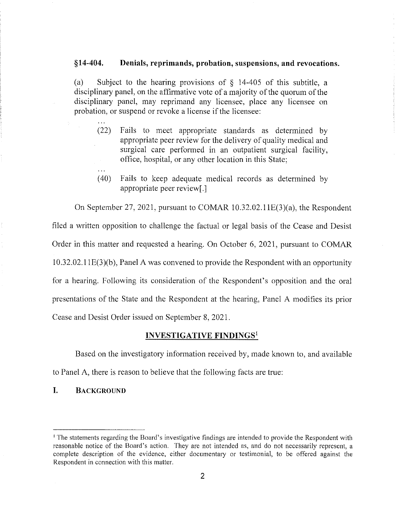#### **§14-404. Denials, reprimands, probation, suspensions, and revocations.**

(a) Subject to the hearing provisions of § 14-405 of this subtitle, a disciplinary panel, on the affirmative vote of a majority of the quorum of the disciplinary panel, may reprimand any licensee, place any licensee on probation, or suspend or revoke a license if the licensee:

- (22) Fails to meet appropriate standards as determined by appropriate peer review for the delivery of quality medical and surgical care performed in an outpatient surgical facility, office, hospital, or any other location in this State;
- (40) Fails to keep adequate medical records as determined by appropriate peer review[.]

On September 27, 2021, pursuant to COMAR 10.32.02.IIE(3)(a), the Respondent filed a written opposition to challenge the factual or legal basis of the Cease and Desist Order in this matter and requested a hearing. On October 6, 2021, pursuant to COMAR  $10.32.02.11E(3)(b)$ , Panel A was convened to provide the Respondent with an opportunity for a hearing. Following its consideration of the Respondent's opposition and the oral presentations of the State and the Respondent at the hearing, Panel A modifies its prior Cease and Desist Order issued on September 8, 2021.

# **INVESTIGATIVE FINDINGS<sup>l</sup>**

Based on the investigatory information received by, made known to, and available to Panel A, there is reason to believe that the following facts are true:

### **I. BACKGROUND**

<sup>1</sup> The statements regarding the Board's investigative findings are intended to provide the Respondent with reasonable notice of the Board's action. They are not intended as, and do not necessarily represent, a complete description of the evidence, either documentary or testimonial, to be offered against the Respondent in connection with this matter.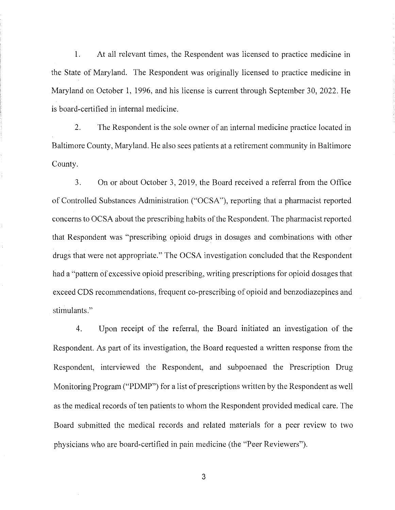1. At all relevant times, the Respondent was licensed to practice medicine in the State of Maryland. The Respondent was originally licensed to practice medicine in Maryland on October 1, 1996, and his license is current through September 30,2022. He is board-certified in internal medicine.

2. The Respondent is the sole owner of an internal medicine practice located in Baltimore County, Maryland. He also sees patients at a retirement community in Baltimore County.

3. On or about October 3,2019, the Board received a referral from the Office of Controlled Substances Administration ("OCSA"), reporting that a pharmacist reported concerns to OCSA about the prescribing habits of the Respondent. The pharmacist reported that Respondent was "prescribing opioid drugs in dosages and combinations with other drugs that were not appropriate." The OCSA investigation concluded that the Respondent had a "pattern of excessive opioid prescribing, writing prescriptions for opioid dosages that exceed COS recommendations, frequent co-prescribing of opioid and benzodiazepines and stimulants."

4. Upon receipt of the referral, the Board initiated an investigation of the Respondent. As part of its investigation, the Board requested a written response from the Respondent, interviewed the Respondent, and subpoenaed the Prescription Drug Monitoring Program ("POMP") for a list of prescriptions written by the Respondent as well as the medical records of ten patients to whom the Respondent provided medical care. The Board submitted the medical records and related materials for a peer review to two physicians who are board-certified in pain medicine (the "Peer Reviewers").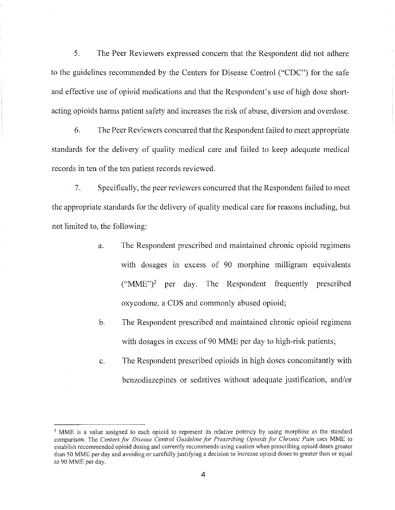5. The Peer Reviewers expressed concern that the Respondent did not adhere to the guidelines recommended by the Centers for Disease Control ("CDC") for the safe and effective use of opioid medications and that the Respondent's use of high dose shortacting opioids harms patient safety and increases the risk of abuse, diversion and overdose.

6. The Peer Reviewers concurred that the Respondent failed to meet appropriate standards for the delivery of quality medical care and failed to keep adequate medical records in ten of the ten patient records reviewed.

7. Specifically, the peer reviewers concurred that the Respondent failed to meet the appropriate standards for the delivery of quality medical care for reasons including, but not limited to, the following:

- a. The Respondent prescribed and maintained chronic opioid regimens with dosages in excess of 90 morphine milligram equivalents  $("MME")<sup>2</sup>$  per day. The Respondent frequently prescribed oxycodone, a CDS and commonly abused opioid;
- b. The Respondent prescribed and maintained chronic opioid regimens with dosages in excess of 90 MME per day to high-risk patients;
- c. The Respondent prescribed opioids in high doses concomitantly with benzodiazepines or sedatives without adequate justification, and/or

<sup>&</sup>lt;sup>2</sup> MME is a value assigned to each opioid to represent its relative potency by using morphine as the standard **comparison. The** *Centers for Disease Control Guideline for Prescribing Opioids for Chronic Pain* **uses MME to establish recommended opioid dosing and currently recommends using caution when prescribing opioid doses greater** than 50 MME per day and avoiding or carefully justifying a decision to increase opioid doses to greater than or equal to 90 MME per day.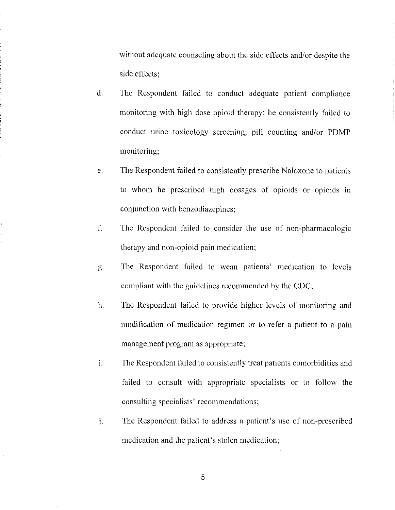without adequate counseling about the side effects and/or despite the side effects;

- d. The Respondent failed to conduct adequate patient compliance monitoring with high dose opioid therapy; he consistently failed to conduct urine toxicology screening, pill counting and/or PDMP monitoring;
- e. The Respondent failed to consistently prescribe Naloxone to patients to whom he prescribed high dosages of opioids or opioids in conjunction with benzodiazepines;
- f. The Respondent failed to consider the use of non-pharmacologic therapy and non-opioid pain medication;
- g. The Respondent failed to wean patients' medication to levels compliant with the guidelines recommended by the CDC;
- h. The Respondent failed to provide higher levels of monitoring and modification of medication regimen or to refer a patient to a pain management program as appropriate;
- !. The Respondent failed to consistently treat patients comorbidities and failed to consult with appropriate specialists or to follow the consulting specialists' recommendations;
- j. The Respondent failed to address a patient's use of non-prescribed medication and the patient's stolen medication;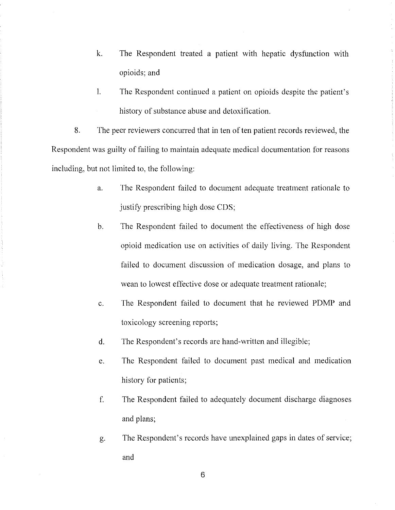- k. The Respondent treated a patient with hepatic dysfunction with opioids; and
- 1. The Respondent continued a patient on opioids despite the patient's history of substance abuse and detoxification.

8. The peer reviewers concurred that in ten of ten patient records reviewed, the Respondent was guilty of failing to maintain adequate medical documentation for reasons including, but not limited to, the following:

- a. The Respondent failed to document adequate treatment rationale to justify prescribing high dose CDS;
- b. The Respondent failed to document the effectiveness of high dose opioid medication use on activities of daily living. The Respondent failed to document discussion of medication dosage, and plans to wean to lowest effective dose or adequate treatment rationale;
- c. The Respondent failed to document that he reviewed PDMP and toxicology screening reports;
- d. The Respondent's records are hand-written and illegible;
- e. The Respondent failed to document past medical and medication history for patients;
- f. The Respondent failed to adequately document discharge diagnoses and plans;
- g. The Respondent's records have unexplained gaps in dates of service; and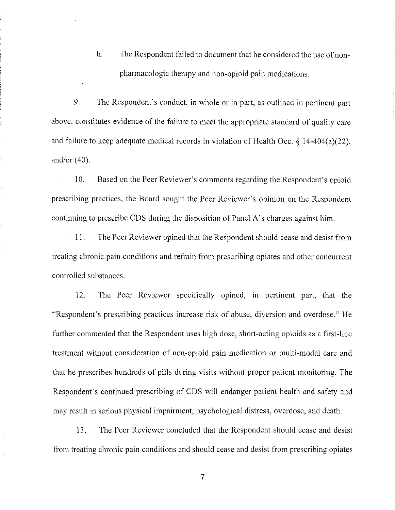h. The Respondent failed to document that he considered the use of nonpharmacologic therapy and non-opioid pain medications.

9. The Respondent's conduct, in whole or in part, as outlined in pertinent part above, constitutes evidence of the failure to meet the appropriate standard of quality care and failure to keep adequate medical records in violation of Health Occ. § 14-404(a)(22), and/or (40).

10. Based on the Peer Reviewer's comments regarding the Respondent's opioid preseribing practices, the Board sought the Peer Reviewer's opinion on the Respondent continuing to preseribe CDS during the disposition of Panel A's eharges against him.

II. The Peer Reviewer opined that the Respondent should cease and desist from treating ehronic pain conditions and refrain from prescribing opiates and other concurrent controlled substances.

12. The Peer Reviewer specifically opined, in pertinent part, that the "Respondent's prescribing practices increase risk of abuse, diversion and overdose." He further commented that the Respondent uses high dose, short-acting opioids as a first-line treatment without consideration of non-opioid pain medication or multi-modal care and that he prescribes hundreds of pills during visits without proper patient monitoring. The Respondent's continued prescribing of CDS will endanger patient health and safety and may result in serious physical impairment, psychological distress, overdose, and death.

13. The Peer Reviewer concluded that the Respondent should cease and desist from treating chronic pain conditions and should cease and desist from prescribing opiates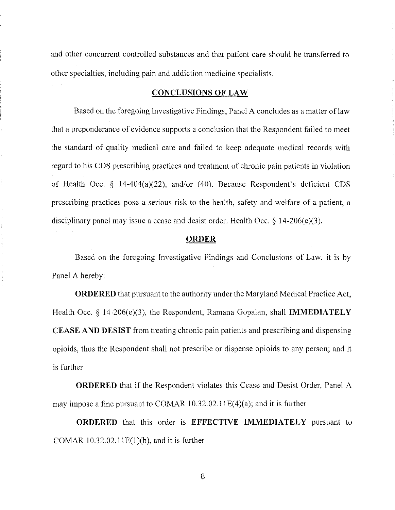and other concurrent controlled substances and that patient care should be transferred to other specialties, including pain and addiction medicine specialists.

#### **CONCLUSIONS OF LAW**

Based on the foregoing Investigative Findings, Panel A concludes as a matter of law that a preponderance of evidence supports a conclusion that the Respondent failed to meet the standard of quality medical care and failed to keep adequate medical records with regard to his CDS prescribing practices and treatment of chronic pain patients in violation of Health Occ. § l4-404(a)(22), and/or (40). Because Respondent's deficient CDS prescribing practices pose a serious risk to the health, safety and welfare of a patient, a disciplinary panel may issue a cease and desist order. Health Occ. § 14-206(e)(3).

### **ORDER**

Based on the foregoing Investigative Findings and Conclusions of Law, it is by Panel A hereby:

**ORDERED** that pursuant to the authority under the Maryland Medical Practice Act, Health Occ. § 14-206(e)(3), the Respondent, Ramana Gopalan, shall **IMMEDIATELY CEASE AND DESIST** from treating chronic pain patients and prescribing and dispensing opioids, thus the Respondent shall not prescribe or dispense opioids to any person; and it is further

**ORDERED** that if the Respondent violates this Cease and Desist Order, Panel A may impose a fine pursuant to COMAR 10.32.02.11E(4)(a); and it is further

**ORDERED** that this order is **EFFECTIVE IMMEDIATELY** pursuant to COMAR  $10.32.02.11E(1)(b)$ , and it is further